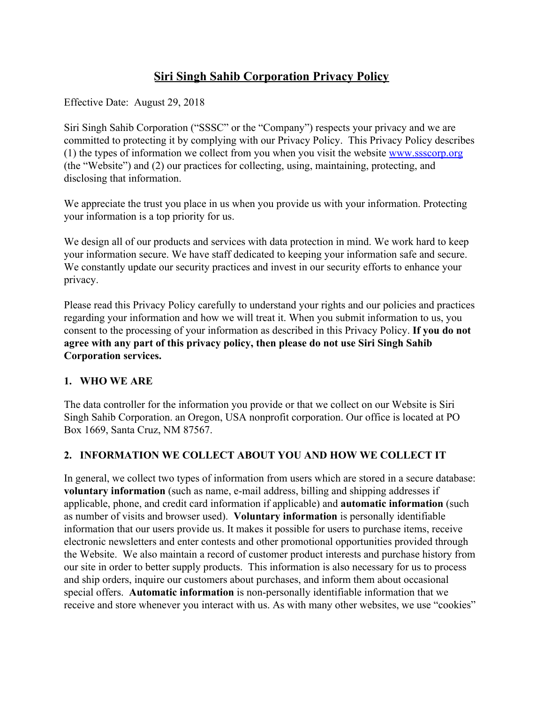# **Siri Singh Sahib Corporation Privacy Policy**

Effective Date: August 29, 2018

Siri Singh Sahib Corporation ("SSSC" or the "Company") respects your privacy and we are committed to protecting it by complying with our Privacy Policy. This Privacy Policy describes (1) the types of information we collect from you when you visit the website [www.ssscorp.org](http://www.ssscorp.org/) (the "Website") and (2) our practices for collecting, using, maintaining, protecting, and disclosing that information.

We appreciate the trust you place in us when you provide us with your information. Protecting your information is a top priority for us.

We design all of our products and services with data protection in mind. We work hard to keep your information secure. We have staff dedicated to keeping your information safe and secure. We constantly update our security practices and invest in our security efforts to enhance your privacy.

Please read this Privacy Policy carefully to understand your rights and our policies and practices regarding your information and how we will treat it. When you submit information to us, you consent to the processing of your information as described in this Privacy Policy. **If you do not agree with any part of this privacy policy, then please do not use Siri Singh Sahib Corporation services.**

### **1. WHO WE ARE**

The data controller for the information you provide or that we collect on our Website is Siri Singh Sahib Corporation. an Oregon, USA nonprofit corporation. Our office is located at PO Box 1669, Santa Cruz, NM 87567.

### **2. INFORMATION WE COLLECT ABOUT YOU AND HOW WE COLLECT IT**

In general, we collect two types of information from users which are stored in a secure database: **voluntary information** (such as name, e-mail address, billing and shipping addresses if applicable, phone, and credit card information if applicable) and **automatic information** (such as number of visits and browser used). **Voluntary information** is personally identifiable information that our users provide us. It makes it possible for users to purchase items, receive electronic newsletters and enter contests and other promotional opportunities provided through the Website. We also maintain a record of customer product interests and purchase history from our site in order to better supply products. This information is also necessary for us to process and ship orders, inquire our customers about purchases, and inform them about occasional special offers. **Automatic information** is non-personally identifiable information that we receive and store whenever you interact with us. As with many other websites, we use "cookies"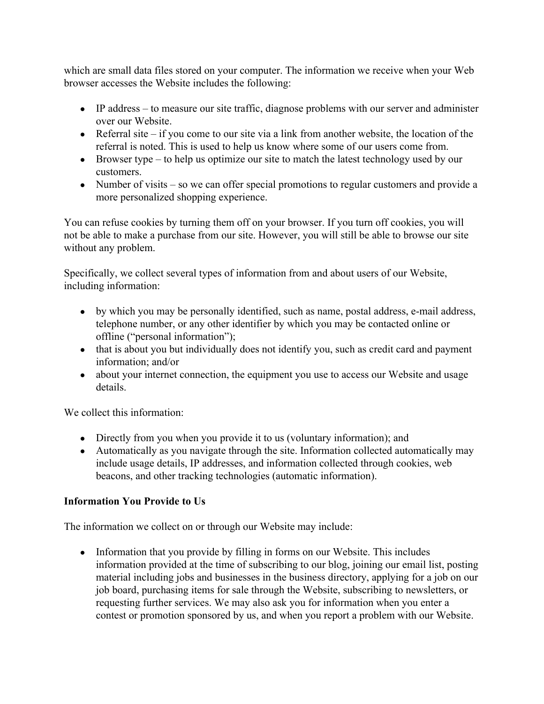which are small data files stored on your computer. The information we receive when your Web browser accesses the Website includes the following:

- IP address to measure our site traffic, diagnose problems with our server and administer over our Website.
- Referral site if you come to our site via a link from another website, the location of the referral is noted. This is used to help us know where some of our users come from.
- $\bullet$  Browser type to help us optimize our site to match the latest technology used by our customers.
- Number of visits so we can offer special promotions to regular customers and provide a more personalized shopping experience.

You can refuse cookies by turning them off on your browser. If you turn off cookies, you will not be able to make a purchase from our site. However, you will still be able to browse our site without any problem.

Specifically, we collect several types of information from and about users of our Website, including information:

- by which you may be personally identified, such as name, postal address, e-mail address, telephone number, or any other identifier by which you may be contacted online or offline ("personal information");
- that is about you but individually does not identify you, such as credit card and payment information; and/or
- about your internet connection, the equipment you use to access our Website and usage details.

We collect this information:

- Directly from you when you provide it to us (voluntary information); and
- Automatically as you navigate through the site. Information collected automatically may include usage details, IP addresses, and information collected through cookies, web beacons, and other tracking technologies (automatic information).

# **Information You Provide to Us**

The information we collect on or through our Website may include:

• Information that you provide by filling in forms on our Website. This includes information provided at the time of subscribing to our blog, joining our email list, posting material including jobs and businesses in the business directory, applying for a job on our job board, purchasing items for sale through the Website, subscribing to newsletters, or requesting further services. We may also ask you for information when you enter a contest or promotion sponsored by us, and when you report a problem with our Website.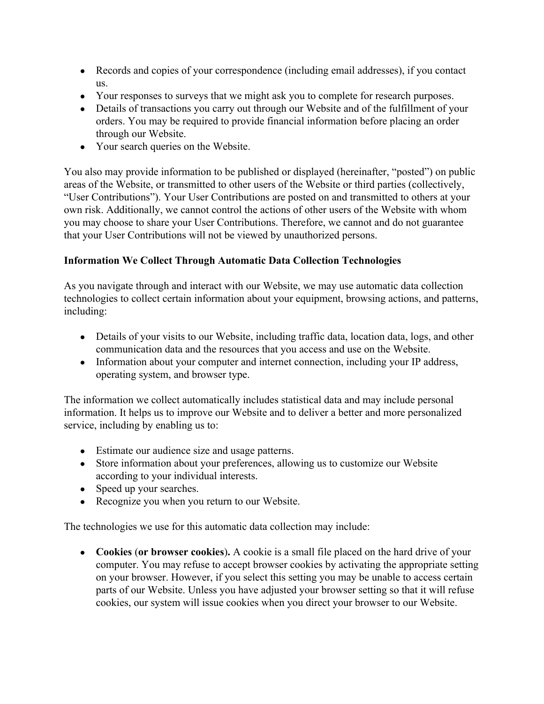- Records and copies of your correspondence (including email addresses), if you contact us.
- Your responses to surveys that we might ask you to complete for research purposes.
- Details of transactions you carry out through our Website and of the fulfillment of your orders. You may be required to provide financial information before placing an order through our Website.
- Your search queries on the Website.

You also may provide information to be published or displayed (hereinafter, "posted") on public areas of the Website, or transmitted to other users of the Website or third parties (collectively, "User Contributions"). Your User Contributions are posted on and transmitted to others at your own risk. Additionally, we cannot control the actions of other users of the Website with whom you may choose to share your User Contributions. Therefore, we cannot and do not guarantee that your User Contributions will not be viewed by unauthorized persons.

# **Information We Collect Through Automatic Data Collection Technologies**

As you navigate through and interact with our Website, we may use automatic data collection technologies to collect certain information about your equipment, browsing actions, and patterns, including:

- Details of your visits to our Website, including traffic data, location data, logs, and other communication data and the resources that you access and use on the Website.
- Information about your computer and internet connection, including your IP address, operating system, and browser type.

The information we collect automatically includes statistical data and may include personal information. It helps us to improve our Website and to deliver a better and more personalized service, including by enabling us to:

- Estimate our audience size and usage patterns.
- Store information about your preferences, allowing us to customize our Website according to your individual interests.
- Speed up your searches.
- Recognize you when you return to our Website.

The technologies we use for this automatic data collection may include:

● **Cookies** (**or browser cookies**)**.** A cookie is a small file placed on the hard drive of your computer. You may refuse to accept browser cookies by activating the appropriate setting on your browser. However, if you select this setting you may be unable to access certain parts of our Website. Unless you have adjusted your browser setting so that it will refuse cookies, our system will issue cookies when you direct your browser to our Website.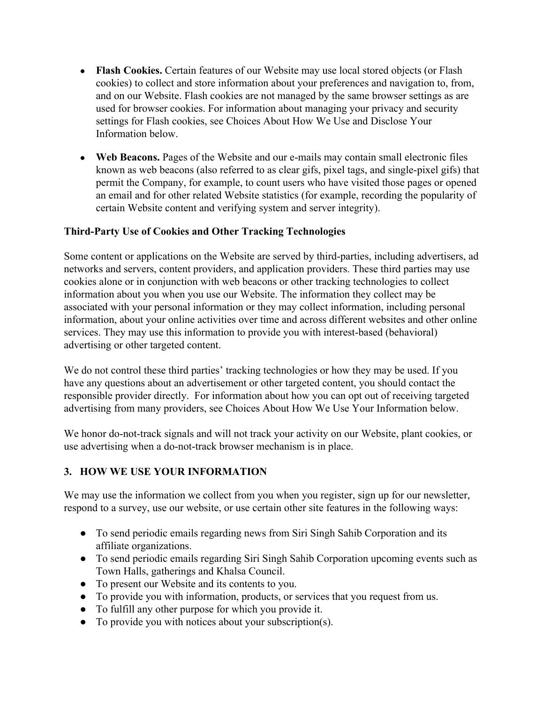- **Flash Cookies.** Certain features of our Website may use local stored objects (or Flash cookies) to collect and store information about your preferences and navigation to, from, and on our Website. Flash cookies are not managed by the same browser settings as are used for browser cookies. For information about managing your privacy and security settings for Flash cookies, see Choices About How We Use and Disclose Your Information below.
- **Web Beacons.** Pages of the Website and our e-mails may contain small electronic files known as web beacons (also referred to as clear gifs, pixel tags, and single-pixel gifs) that permit the Company, for example, to count users who have visited those pages or opened an email and for other related Website statistics (for example, recording the popularity of certain Website content and verifying system and server integrity).

#### **Third-Party Use of Cookies and Other Tracking Technologies**

Some content or applications on the Website are served by third-parties, including advertisers, ad networks and servers, content providers, and application providers. These third parties may use cookies alone or in conjunction with web beacons or other tracking technologies to collect information about you when you use our Website. The information they collect may be associated with your personal information or they may collect information, including personal information, about your online activities over time and across different websites and other online services. They may use this information to provide you with interest-based (behavioral) advertising or other targeted content.

We do not control these third parties' tracking technologies or how they may be used. If you have any questions about an advertisement or other targeted content, you should contact the responsible provider directly. For information about how you can opt out of receiving targeted advertising from many providers, see Choices About How We Use Your Information below.

We honor do-not-track signals and will not track your activity on our Website, plant cookies, or use advertising when a do-not-track browser mechanism is in place.

### **3. HOW WE USE YOUR INFORMATION**

We may use the information we collect from you when you register, sign up for our newsletter, respond to a survey, use our website, or use certain other site features in the following ways:

- To send periodic emails regarding news from Siri Singh Sahib Corporation and its affiliate organizations.
- To send periodic emails regarding Siri Singh Sahib Corporation upcoming events such as Town Halls, gatherings and Khalsa Council.
- To present our Website and its contents to you.
- To provide you with information, products, or services that you request from us.
- To fulfill any other purpose for which you provide it.
- To provide you with notices about your subscription(s).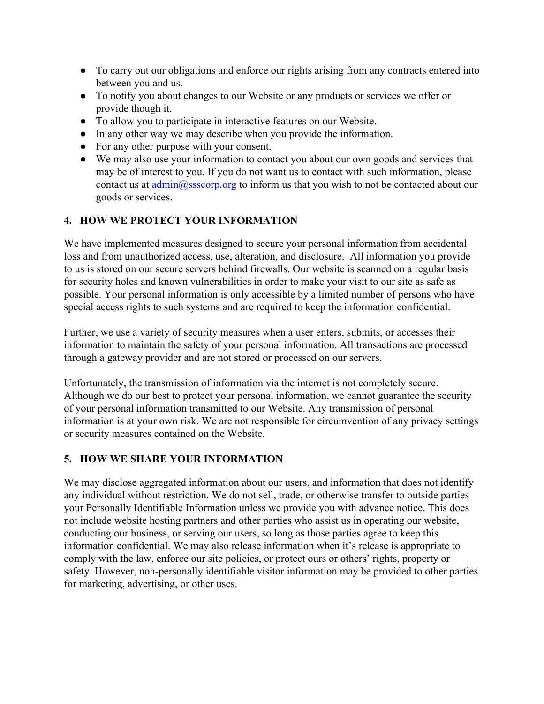- To carry out our obligations and enforce our rights arising from any contracts entered into between you and us.
- To notify you about changes to our Website or any products or services we offer or provide though it.
- To allow you to participate in interactive features on our Website.
- In any other way we may describe when you provide the information.
- For any other purpose with your consent.
- We may also use your information to contact you about our own goods and services that may be of interest to you. If you do not want us to contact with such information, please contact us at  $\underline{\text{admin}(\text{a}})$  ssscorp.org to inform us that you wish to not be contacted about our goods or services.

### **4. HOW WE PROTECT YOUR INFORMATION**

We have implemented measures designed to secure your personal information from accidental loss and from unauthorized access, use, alteration, and disclosure. All information you provide to us is stored on our secure servers behind firewalls. Our website is scanned on a regular basis for security holes and known vulnerabilities in order to make your visit to our site as safe as possible. Your personal information is only accessible by a limited number of persons who have special access rights to such systems and are required to keep the information confidential.

Further, we use a variety of security measures when a user enters, submits, or accesses their information to maintain the safety of your personal information. All transactions are processed through a gateway provider and are not stored or processed on our servers.

Unfortunately, the transmission of information via the internet is not completely secure. Although we do our best to protect your personal information, we cannot guarantee the security of your personal information transmitted to our Website. Any transmission of personal information is at your own risk. We are not responsible for circumvention of any privacy settings or security measures contained on the Website.

#### **5. HOW WE SHARE YOUR INFORMATION**

We may disclose aggregated information about our users, and information that does not identify any individual without restriction. We do not sell, trade, or otherwise transfer to outside parties your Personally Identifiable Information unless we provide you with advance notice. This does not include website hosting partners and other parties who assist us in operating our website, conducting our business, or serving our users, so long as those parties agree to keep this information confidential. We may also release information when it's release is appropriate to comply with the law, enforce our site policies, or protect ours or others' rights, property or safety. However, non-personally identifiable visitor information may be provided to other parties for marketing, advertising, or other uses.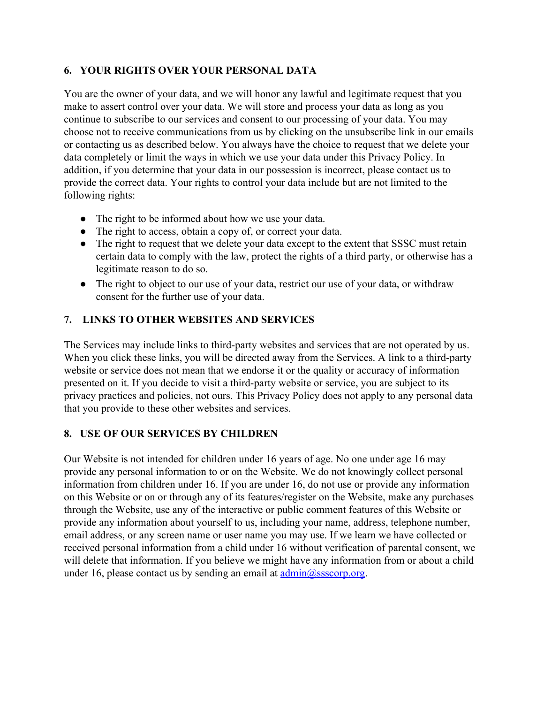#### **6. YOUR RIGHTS OVER YOUR PERSONAL DATA**

You are the owner of your data, and we will honor any lawful and legitimate request that you make to assert control over your data. We will store and process your data as long as you continue to subscribe to our services and consent to our processing of your data. You may choose not to receive communications from us by clicking on the unsubscribe link in our emails or contacting us as described below. You always have the choice to request that we delete your data completely or limit the ways in which we use your data under this Privacy Policy. In addition, if you determine that your data in our possession is incorrect, please contact us to provide the correct data. Your rights to control your data include but are not limited to the following rights:

- The right to be informed about how we use your data.
- The right to access, obtain a copy of, or correct your data.
- The right to request that we delete your data except to the extent that SSSC must retain certain data to comply with the law, protect the rights of a third party, or otherwise has a legitimate reason to do so.
- The right to object to our use of your data, restrict our use of your data, or withdraw consent for the further use of your data.

#### **7. LINKS TO OTHER WEBSITES AND SERVICES**

The Services may include links to third-party websites and services that are not operated by us. When you click these links, you will be directed away from the Services. A link to a third-party website or service does not mean that we endorse it or the quality or accuracy of information presented on it. If you decide to visit a third-party website or service, you are subject to its privacy practices and policies, not ours. This Privacy Policy does not apply to any personal data that you provide to these other websites and services.

#### **8. USE OF OUR SERVICES BY CHILDREN**

Our Website is not intended for children under 16 years of age. No one under age 16 may provide any personal information to or on the Website. We do not knowingly collect personal information from children under 16. If you are under 16, do not use or provide any information on this Website or on or through any of its features/register on the Website, make any purchases through the Website, use any of the interactive or public comment features of this Website or provide any information about yourself to us, including your name, address, telephone number, email address, or any screen name or user name you may use. If we learn we have collected or received personal information from a child under 16 without verification of parental consent, we will delete that information. If you believe we might have any information from or about a child under 16, please contact us by sending an email at  $\frac{\text{admin}(a) \cdot \text{ssocorp.org}}{\text{asocorp.org}}$ .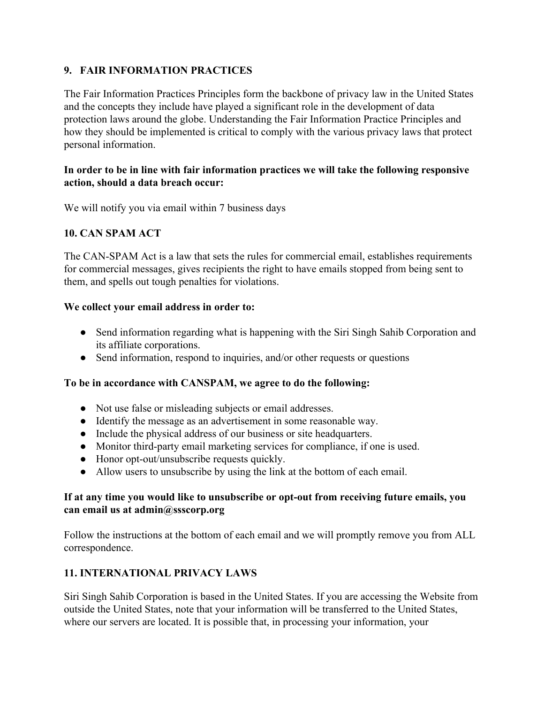### **9. FAIR INFORMATION PRACTICES**

The Fair Information Practices Principles form the backbone of privacy law in the United States and the concepts they include have played a significant role in the development of data protection laws around the globe. Understanding the Fair Information Practice Principles and how they should be implemented is critical to comply with the various privacy laws that protect personal information.

#### **In order to be in line with fair information practices we will take the following responsive action, should a data breach occur:**

We will notify you via email within 7 business days

# **10. CAN SPAM ACT**

The CAN-SPAM Act is a law that sets the rules for commercial email, establishes requirements for commercial messages, gives recipients the right to have emails stopped from being sent to them, and spells out tough penalties for violations.

#### **We collect your email address in order to:**

- Send information regarding what is happening with the Siri Singh Sahib Corporation and its affiliate corporations.
- Send information, respond to inquiries, and/or other requests or questions

#### **To be in accordance with CANSPAM, we agree to do the following:**

- Not use false or misleading subjects or email addresses.
- Identify the message as an advertisement in some reasonable way.
- Include the physical address of our business or site headquarters.
- Monitor third-party email marketing services for compliance, if one is used.
- Honor opt-out/unsubscribe requests quickly.
- Allow users to unsubscribe by using the link at the bottom of each email.

#### **If at any time you would like to unsubscribe or opt-out from receiving future emails, you can email us at admin@ssscorp.org**

Follow the instructions at the bottom of each email and we will promptly remove you from ALL correspondence.

### **11. INTERNATIONAL PRIVACY LAWS**

Siri Singh Sahib Corporation is based in the United States. If you are accessing the Website from outside the United States, note that your information will be transferred to the United States, where our servers are located. It is possible that, in processing your information, your